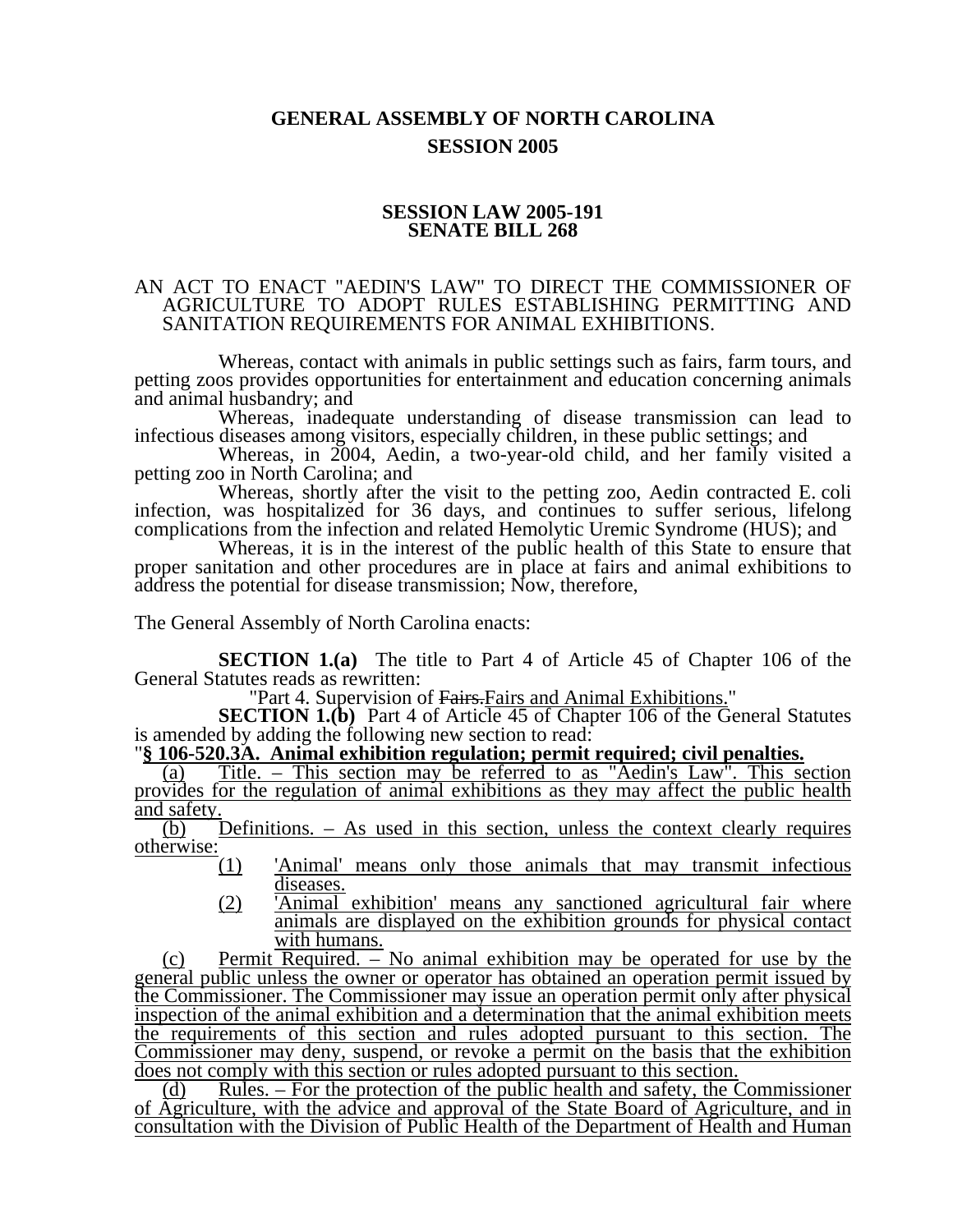## **GENERAL ASSEMBLY OF NORTH CAROLINA SESSION 2005**

## **SESSION LAW 2005-191 SENATE BILL 268**

## AN ACT TO ENACT "AEDIN'S LAW" TO DIRECT THE COMMISSIONER OF AGRICULTURE TO ADOPT RULES ESTABLISHING PERMITTING AND SANITATION REQUIREMENTS FOR ANIMAL EXHIBITIONS.

Whereas, contact with animals in public settings such as fairs, farm tours, and petting zoos provides opportunities for entertainment and education concerning animals and animal husbandry; and

Whereas, inadequate understanding of disease transmission can lead to infectious diseases among visitors, especially children, in these public settings; and

Whereas, in 2004, Aedin, a two-year-old child, and her family visited a petting zoo in North Carolina; and

Whereas, shortly after the visit to the petting zoo, Aedin contracted E. coli infection, was hospitalized for 36 days, and continues to suffer serious, lifelong complications from the infection and related Hemolytic Uremic Syndrome (HUS); and

Whereas, it is in the interest of the public health of this State to ensure that proper sanitation and other procedures are in place at fairs and animal exhibitions to address the potential for disease transmission; Now, therefore,

The General Assembly of North Carolina enacts:

**SECTION 1.(a)** The title to Part 4 of Article 45 of Chapter 106 of the General Statutes reads as rewritten:

"Part 4. Supervision of Fairs. Fairs and Animal Exhibitions."

**SECTION 1.(b)** Part 4 of Article 45 of Chapter 106 of the General Statutes is amended by adding the following new section to read:

## is amended by adding the following new section to read: "**§ 106-520.3A. Animal exhibition regulation; permit required; civil penalties.**

(a) Title. – This section may be referred to as "Aedin's Law". This section provides for the regulation of animal exhibitions as they may affect the public health and safety.

(b) Definitions. – As used in this section, unless the context clearly requires otherwise:

- (1) 'Animal' means only those animals that may transmit infectious diseases.
- (2) 'Animal exhibition' means any sanctioned agricultural fair where animals are displayed on the exhibition grounds for physical contact with humans.

(c) Permit  $\overline{\text{Required}}$ .  $\overline{\text{A}}$  No animal exhibition may be operated for use by the general public unless the owner or operator has obtained an operation permit issued by the Commissioner. The Commissioner may issue an operation permit only after physical inspection of the animal exhibition and a determination that the animal exhibition meets the requirements of this section and rules adopted pursuant to this section. The Commissioner may deny, suspend, or revoke a permit on the basis that the exhibition does not comply with this section or rules adopted pursuant to this section.

(d) Rules. – For the protection of the public health and safety, the Commissioner of Agriculture, with the advice and approval of the State Board of Agriculture, and in consultation with the Division of Public Health of the Department of Health and Human